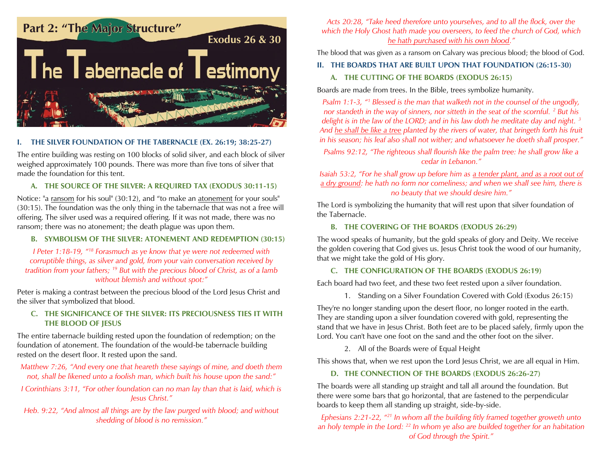

# **I. THE SILVER FOUNDATION OF THE TABERNACLE (EX. 26:19; 38:25-27)**

The entire building was resting on 100 blocks of solid silver, and each block of silver weighed approximately 100 pounds. There was more than five tons of silver that made the foundation for this tent.

# **A. THE SOURCE OF THE SILVER: A REQUIRED TAX (EXODUS 30:11-15)**

Notice: "a ransom for his soul" (30:12), and "to make an atonement for your souls" (30:15). The foundation was the only thing in the tabernacle that was not a free will offering. The silver used was a required offering. If it was not made, there was no ransom; there was no atonement; the death plague was upon them.

### **B. SYMBOLISM OF THE SILVER: ATONEMENT AND REDEMPTION (30:15)**

*I Peter 1:18-19, "<sup>18</sup> Forasmuch as ye know that ye were not redeemed with corruptible things, as silver and gold, from your vain conversation received by tradition from your fathers; <sup>19</sup> But with the precious blood of Christ, as of a lamb without blemish and without spot:"*

Peter is making a contrast between the precious blood of the Lord Jesus Christ and the silver that symbolized that blood.

### **C. THE SIGNIFICANCE OF THE SILVER: ITS PRECIOUSNESS TIES IT WITH THE BLOOD OF JESUS**

The entire tabernacle building rested upon the foundation of redemption; on the foundation of atonement. The foundation of the would-be tabernacle building rested on the desert floor. It rested upon the sand.

*Matthew 7:26, "And every one that heareth these sayings of mine, and doeth them not, shall be likened unto a foolish man, which built his house upon the sand:"*

*I* Corinthians 3:11, "For other foundation can no man lay than that is laid, which is *Jesus Christ."*

*Heb. 9:22, "And almost all things are by the law purged with blood; and without shedding of blood is no remission."*

*Acts 20:28, "Take heed therefore unto yourselves, and to all the flock, over the which the Holy Ghost hath made you overseers, to feed the church of God, which he hath purchased with his own blood."*

The blood that was given as a ransom on Calvary was precious blood; the blood of God.

#### **II. THE BOARDS THAT ARE BUILT UPON THAT FOUNDATION (26:15-30)**

### **A. THE CUTTING OF THE BOARDS (EXODUS 26:15)**

Boards are made from trees. In the Bible, trees symbolize humanity.

*Psalm 1:1-3, "<sup>1</sup> Blessed is the man that walketh not in the counsel of the ungodly, nor standeth in the way of sinners, nor sitteth in the seat of the scornful.* <sup>2</sup> *But his delight is in the law of the LORD; and in his law doth he meditate day and night. <sup>3</sup> And he shall be like a tree planted by the rivers of water, that bringeth forth his fruit in his season; his leaf also shall not wither; and whatsoever he doeth shall prosper."*

*Psalms 92:12, "The righteous shall flourish like the palm tree: he shall grow like a cedar in Lebanon."*

*Isaiah 53:2, "For he shall grow up before him as a tender plant, and as a root out of a dry ground: he hath no form nor comeliness; and when we shall see him, there is no beauty that we should desire him."*

The Lord is symbolizing the humanity that will rest upon that silver foundation of the Tabernacle.

#### **B. THE COVERING OF THE BOARDS (EXODUS 26:29)**

The wood speaks of humanity, but the gold speaks of glory and Deity. We receive the golden covering that God gives us. Jesus Christ took the wood of our humanity, that we might take the gold of His glory.

### **C. THE CONFIGURATION OF THE BOARDS (EXODUS 26:19)**

Each board had two feet, and these two feet rested upon a silver foundation.

1. Standing on a Silver Foundation Covered with Gold (Exodus 26:15)

They're no longer standing upon the desert floor, no longer rooted in the earth. They are standing upon a silver foundation covered with gold, representing the stand that we have in Jesus Christ. Both feet are to be placed safely, firmly upon the Lord. You can't have one foot on the sand and the other foot on the silver.

2. All of the Boards were of Equal Height

This shows that, when we rest upon the Lord Jesus Christ, we are all equal in Him.

### **D. THE CONNECTION OF THE BOARDS (EXODUS 26:26-27)**

The boards were all standing up straight and tall all around the foundation. But there were some bars that go horizontal, that are fastened to the perpendicular boards to keep them all standing up straight, side-by-side.

*Ephesians 2:21-22, "<sup>21</sup> In whom all the building fitly framed together groweth unto an holy temple in the Lord: <sup>22</sup> In whom ye also are builded together for an habitation of God through the Spirit."*